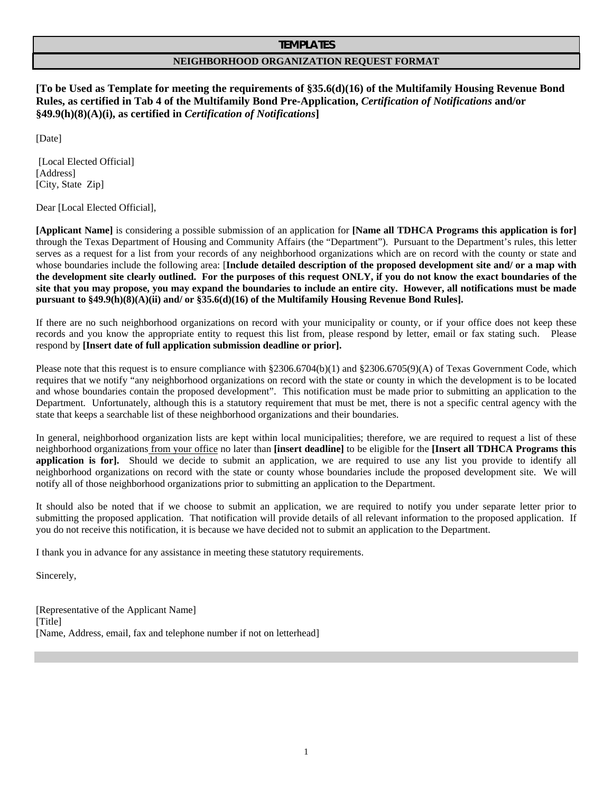#### **TEMPLATES**

### **NEIGHBORHOOD ORGANIZATION REQUEST FORMAT**

**[To be Used as Template for meeting the requirements of §35.6(d)(16) of the Multifamily Housing Revenue Bond Rules, as certified in Tab 4 of the Multifamily Bond Pre-Application,** *Certification of Notifications* **and/or §49.9(h)(8)(A)(i), as certified in** *Certification of Notifications***]** 

[Date]

[Local Elected Official] [Address] [City, State Zip]

Dear [Local Elected Official],

**[Applicant Name]** is considering a possible submission of an application for **[Name all TDHCA Programs this application is for]**  through the Texas Department of Housing and Community Affairs (the "Department"). Pursuant to the Department's rules, this letter serves as a request for a list from your records of any neighborhood organizations which are on record with the county or state and whose boundaries include the following area: [**Include detailed description of the proposed development site and/ or a map with the development site clearly outlined. For the purposes of this request ONLY, if you do not know the exact boundaries of the site that you may propose, you may expand the boundaries to include an entire city. However, all notifications must be made pursuant to §49.9(h)(8)(A)(ii) and/ or §35.6(d)(16) of the Multifamily Housing Revenue Bond Rules].** 

If there are no such neighborhood organizations on record with your municipality or county, or if your office does not keep these records and you know the appropriate entity to request this list from, please respond by letter, email or fax stating such. Please respond by **[Insert date of full application submission deadline or prior].**

Please note that this request is to ensure compliance with §2306.6704(b)(1) and §2306.6705(9)(A) of Texas Government Code, which requires that we notify "any neighborhood organizations on record with the state or county in which the development is to be located and whose boundaries contain the proposed development". This notification must be made prior to submitting an application to the Department. Unfortunately, although this is a statutory requirement that must be met, there is not a specific central agency with the state that keeps a searchable list of these neighborhood organizations and their boundaries.

In general, neighborhood organization lists are kept within local municipalities; therefore, we are required to request a list of these neighborhood organizations from your office no later than **[insert deadline]** to be eligible for the **[Insert all TDHCA Programs this application is for].** Should we decide to submit an application, we are required to use any list you provide to identify all neighborhood organizations on record with the state or county whose boundaries include the proposed development site. We will notify all of those neighborhood organizations prior to submitting an application to the Department.

It should also be noted that if we choose to submit an application, we are required to notify you under separate letter prior to submitting the proposed application. That notification will provide details of all relevant information to the proposed application. If you do not receive this notification, it is because we have decided not to submit an application to the Department.

I thank you in advance for any assistance in meeting these statutory requirements.

Sincerely,

[Representative of the Applicant Name] [Title] [Name, Address, email, fax and telephone number if not on letterhead]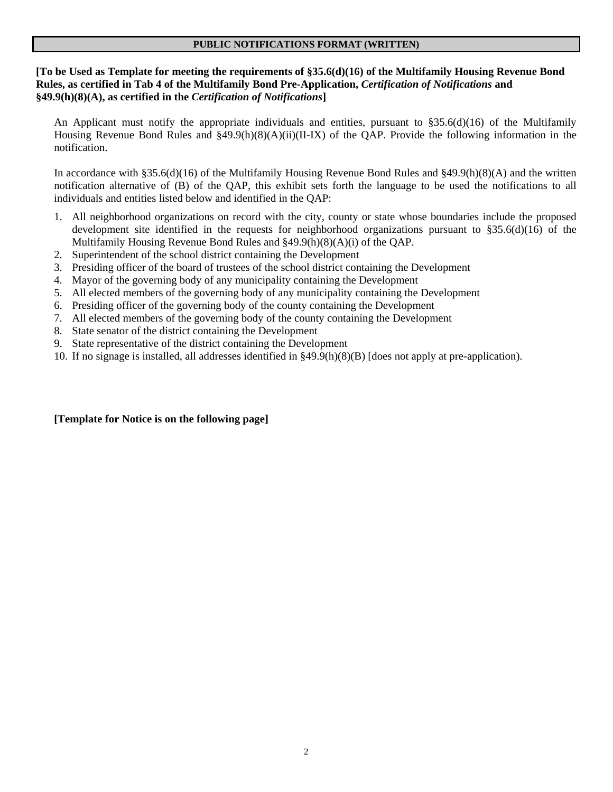#### **PUBLIC NOTIFICATIONS FORMAT (WRITTEN)**

# **[To be Used as Template for meeting the requirements of §35.6(d)(16) of the Multifamily Housing Revenue Bond Rules, as certified in Tab 4 of the Multifamily Bond Pre-Application,** *Certification of Notifications* **and §49.9(h)(8)(A), as certified in the** *Certification of Notifications***]**

An Applicant must notify the appropriate individuals and entities, pursuant to  $\S 35.6(d)(16)$  of the Multifamily Housing Revenue Bond Rules and §49.9(h)(8)(A)(ii)(II-IX) of the QAP. Provide the following information in the notification.

In accordance with §35.6(d)(16) of the Multifamily Housing Revenue Bond Rules and §49.9(h)(8)(A) and the written notification alternative of (B) of the QAP, this exhibit sets forth the language to be used the notifications to all individuals and entities listed below and identified in the QAP:

- 1. All neighborhood organizations on record with the city, county or state whose boundaries include the proposed development site identified in the requests for neighborhood organizations pursuant to §35.6(d)(16) of the Multifamily Housing Revenue Bond Rules and §49.9(h)(8)(A)(i) of the QAP.
- 2. Superintendent of the school district containing the Development
- 3. Presiding officer of the board of trustees of the school district containing the Development
- 4. Mayor of the governing body of any municipality containing the Development
- 5. All elected members of the governing body of any municipality containing the Development
- 6. Presiding officer of the governing body of the county containing the Development
- 7. All elected members of the governing body of the county containing the Development
- 8. State senator of the district containing the Development
- 9. State representative of the district containing the Development
- 10. If no signage is installed, all addresses identified in §49.9(h)(8)(B) [does not apply at pre-application).

## **[Template for Notice is on the following page]**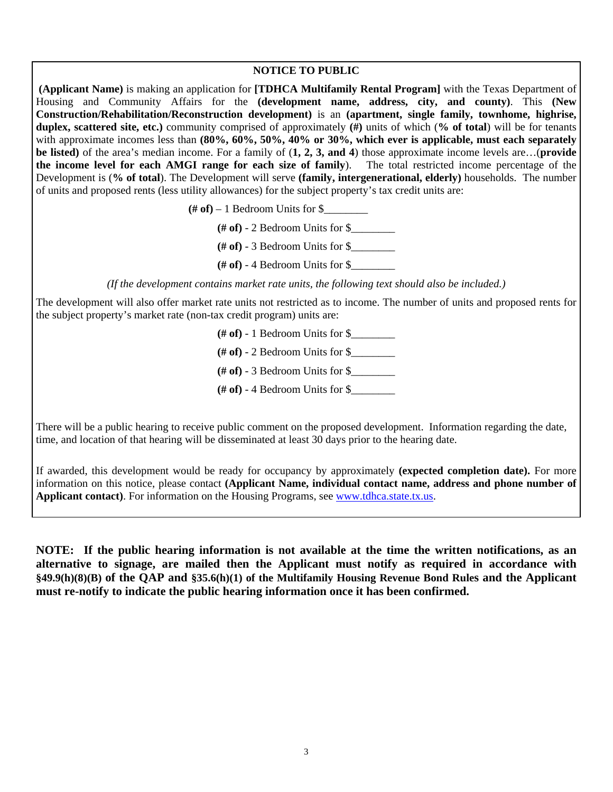#### **NOTICE TO PUBLIC**

**(Applicant Name)** is making an application for **[TDHCA Multifamily Rental Program]** with the Texas Department of Housing and Community Affairs for the **(development name, address, city, and county)**. This **(New Construction/Rehabilitation/Reconstruction development)** is an **(apartment, single family, townhome, highrise, duplex, scattered site, etc.)** community comprised of approximately **(#)** units of which (**% of total**) will be for tenants with approximate incomes less than **(80%, 60%, 50%, 40% or 30%, which ever is applicable, must each separately be listed)** of the area's median income. For a family of (**1, 2, 3, and 4**) those approximate income levels are…(**provide the income level for each AMGI range for each size of family**). The total restricted income percentage of the Development is (**% of total**). The Development will serve **(family, intergenerational, elderly)** households. The number of units and proposed rents (less utility allowances) for the subject property's tax credit units are:

 $(\# \text{ of}) - 1$  Bedroom Units for  $\$\_$ 

 $(\# \text{ of})$  - 2 Bedroom Units for  $\$\$ 

**(# of)** - 3 Bedroom Units for \$\_\_\_\_\_\_\_\_

 $(\# \text{ of})$  - 4 Bedroom Units for  $\$$ 

*(If the development contains market rate units, the following text should also be included.)* 

The development will also offer market rate units not restricted as to income. The number of units and proposed rents for the subject property's market rate (non-tax credit program) units are:

**(# of)** - 1 Bedroom Units for \$\_\_\_\_\_\_\_\_

 $(\# \text{ of})$  - 2 Bedroom Units for \$

**(# of)** - 3 Bedroom Units for \$\_\_\_\_\_\_\_\_

**(# of)** - 4 Bedroom Units for \$\_\_\_\_\_\_\_\_

There will be a public hearing to receive public comment on the proposed development. Information regarding the date, time, and location of that hearing will be disseminated at least 30 days prior to the hearing date.

If awarded, this development would be ready for occupancy by approximately **(expected completion date).** For more information on this notice, please contact **(Applicant Name, individual contact name, address and phone number of Applicant contact**). For information on the Housing Programs, see [www.tdhca.state.tx.us.](http://www.tdhca.state.tx.us/)

**NOTE: If the public hearing information is not available at the time the written notifications, as an alternative to signage, are mailed then the Applicant must notify as required in accordance with §49.9(h)(8)(B) of the QAP and §35.6(h)(1) of the Multifamily Housing Revenue Bond Rules and the Applicant must re-notify to indicate the public hearing information once it has been confirmed.**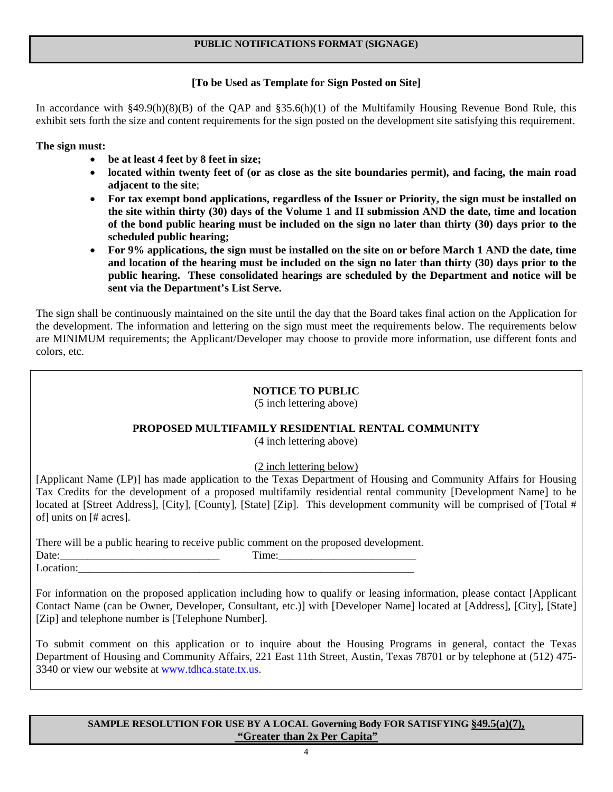# **PUBLIC NOTIFICATIONS FORMAT (SIGNAGE)**

# **[To be Used as Template for Sign Posted on Site]**

In accordance with §49.9(h)(8)(B) of the QAP and §35.6(h)(1) of the Multifamily Housing Revenue Bond Rule, this exhibit sets forth the size and content requirements for the sign posted on the development site satisfying this requirement.

**The sign must:** 

- **be at least 4 feet by 8 feet in size;**
- **located within twenty feet of (or as close as the site boundaries permit), and facing, the main road adjacent to the site**;
- **For tax exempt bond applications, regardless of the Issuer or Priority, the sign must be installed on the site within thirty (30) days of the Volume 1 and II submission AND the date, time and location of the bond public hearing must be included on the sign no later than thirty (30) days prior to the scheduled public hearing;**
- **For 9% applications, the sign must be installed on the site on or before March 1 AND the date, time and location of the hearing must be included on the sign no later than thirty (30) days prior to the public hearing. These consolidated hearings are scheduled by the Department and notice will be sent via the Department's List Serve.**

The sign shall be continuously maintained on the site until the day that the Board takes final action on the Application for the development. The information and lettering on the sign must meet the requirements below. The requirements below are MINIMUM requirements; the Applicant/Developer may choose to provide more information, use different fonts and colors, etc.

# **NOTICE TO PUBLIC**

(5 inch lettering above)

# **PROPOSED MULTIFAMILY RESIDENTIAL RENTAL COMMUNITY**

(4 inch lettering above)

(2 inch lettering below)

[Applicant Name (LP)] has made application to the Texas Department of Housing and Community Affairs for Housing Tax Credits for the development of a proposed multifamily residential rental community [Development Name] to be located at [Street Address], [City], [County], [State] [Zip]. This development community will be comprised of [Total # of] units on [# acres].

There will be a public hearing to receive public comment on the proposed development.

Date:\_\_\_\_\_\_\_\_\_\_\_\_\_\_\_\_\_\_\_\_\_\_\_\_\_\_\_\_\_ Time:\_\_\_\_\_\_\_\_\_\_\_\_\_\_\_\_\_\_\_\_\_\_\_\_\_ Location:

For information on the proposed application including how to qualify or leasing information, please contact [Applicant Contact Name (can be Owner, Developer, Consultant, etc.)] with [Developer Name] located at [Address], [City], [State] [Zip] and telephone number is [Telephone Number].

To submit comment on this application or to inquire about the Housing Programs in general, contact the Texas Department of Housing and Community Affairs, 221 East 11th Street, Austin, Texas 78701 or by telephone at (512) 475- 3340 or view our website at [www.tdhca.state.tx.us](http://www.tdhca.state.tx.us/).

## **SAMPLE RESOLUTION FOR USE BY A LOCAL Governing Body FOR SATISFYING §49.5(a)(7), "Greater than 2x Per Capita"**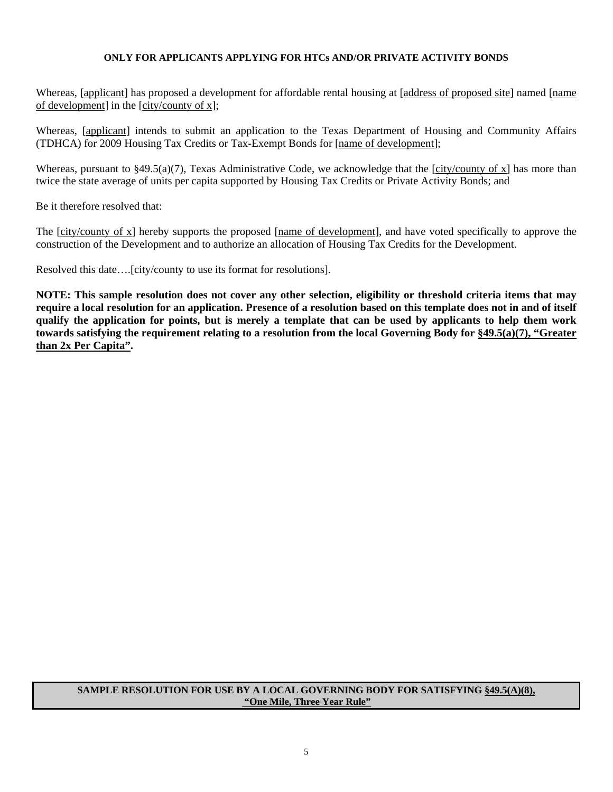### **ONLY FOR APPLICANTS APPLYING FOR HTCs AND/OR PRIVATE ACTIVITY BONDS**

Whereas, [applicant] has proposed a development for affordable rental housing at [address of proposed site] named [name of development] in the [city/county of x];

Whereas, [applicant] intends to submit an application to the Texas Department of Housing and Community Affairs (TDHCA) for 2009 Housing Tax Credits or Tax-Exempt Bonds for [name of development];

Whereas, pursuant to  $\S49.5(a)(7)$ , Texas Administrative Code, we acknowledge that the [city/county of x] has more than twice the state average of units per capita supported by Housing Tax Credits or Private Activity Bonds; and

Be it therefore resolved that:

The [city/county of x] hereby supports the proposed [name of development], and have voted specifically to approve the construction of the Development and to authorize an allocation of Housing Tax Credits for the Development.

Resolved this date….[city/county to use its format for resolutions].

**NOTE: This sample resolution does not cover any other selection, eligibility or threshold criteria items that may require a local resolution for an application. Presence of a resolution based on this template does not in and of itself qualify the application for points, but is merely a template that can be used by applicants to help them work towards satisfying the requirement relating to a resolution from the local Governing Body for §49.5(a)(7), "Greater than 2x Per Capita".** 

#### **SAMPLE RESOLUTION FOR USE BY A LOCAL GOVERNING BODY FOR SATISFYING §49.5(A)(8), "One Mile, Three Year Rule"**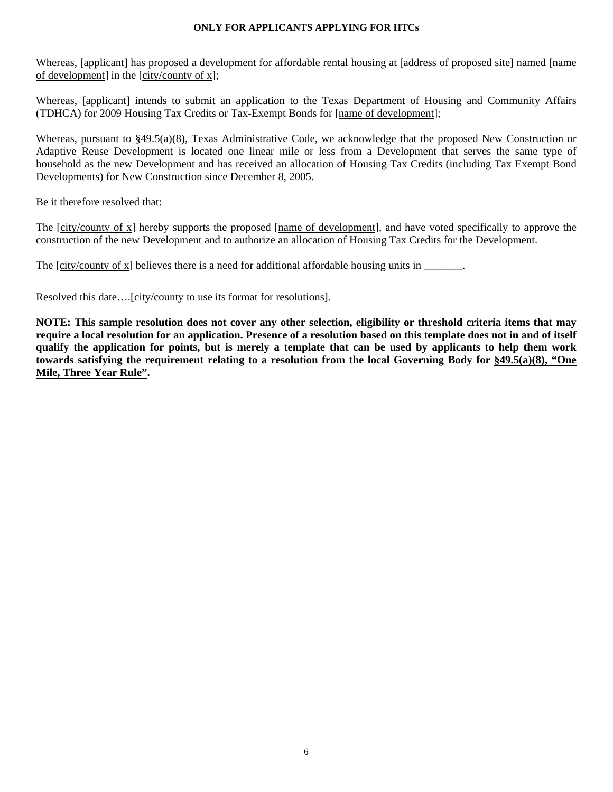#### **ONLY FOR APPLICANTS APPLYING FOR HTCs**

Whereas, [applicant] has proposed a development for affordable rental housing at [address of proposed site] named [name of development] in the [city/county of x];

Whereas, [applicant] intends to submit an application to the Texas Department of Housing and Community Affairs (TDHCA) for 2009 Housing Tax Credits or Tax-Exempt Bonds for [name of development];

Whereas, pursuant to §49.5(a)(8), Texas Administrative Code, we acknowledge that the proposed New Construction or Adaptive Reuse Development is located one linear mile or less from a Development that serves the same type of household as the new Development and has received an allocation of Housing Tax Credits (including Tax Exempt Bond Developments) for New Construction since December 8, 2005.

Be it therefore resolved that:

The [city/county of x] hereby supports the proposed [name of development], and have voted specifically to approve the construction of the new Development and to authorize an allocation of Housing Tax Credits for the Development.

The [city/county of x] believes there is a need for additional affordable housing units in \_\_\_\_\_\_\_.

Resolved this date….[city/county to use its format for resolutions].

**NOTE: This sample resolution does not cover any other selection, eligibility or threshold criteria items that may require a local resolution for an application. Presence of a resolution based on this template does not in and of itself qualify the application for points, but is merely a template that can be used by applicants to help them work towards satisfying the requirement relating to a resolution from the local Governing Body for §49.5(a)(8), "One Mile, Three Year Rule".**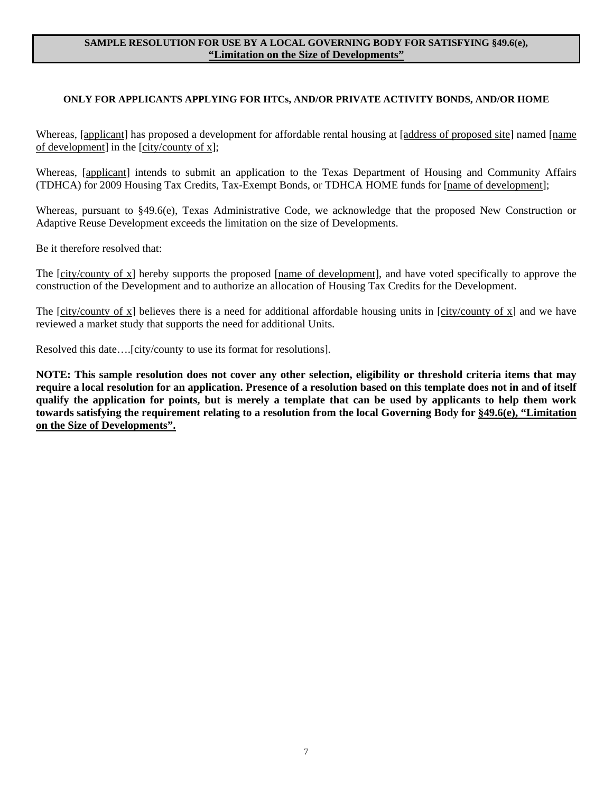#### **SAMPLE RESOLUTION FOR USE BY A LOCAL GOVERNING BODY FOR SATISFYING §49.6(e), "Limitation on the Size of Developments"**

## **ONLY FOR APPLICANTS APPLYING FOR HTCs, AND/OR PRIVATE ACTIVITY BONDS, AND/OR HOME**

Whereas, [applicant] has proposed a development for affordable rental housing at [address of proposed site] named [name of development] in the [city/county of x];

Whereas, [applicant] intends to submit an application to the Texas Department of Housing and Community Affairs (TDHCA) for 2009 Housing Tax Credits, Tax-Exempt Bonds, or TDHCA HOME funds for [name of development];

Whereas, pursuant to §49.6(e), Texas Administrative Code, we acknowledge that the proposed New Construction or Adaptive Reuse Development exceeds the limitation on the size of Developments.

Be it therefore resolved that:

The [city/county of x] hereby supports the proposed [name of development], and have voted specifically to approve the construction of the Development and to authorize an allocation of Housing Tax Credits for the Development.

The [city/county of x] believes there is a need for additional affordable housing units in [city/county of x] and we have reviewed a market study that supports the need for additional Units.

Resolved this date….[city/county to use its format for resolutions].

**NOTE: This sample resolution does not cover any other selection, eligibility or threshold criteria items that may require a local resolution for an application. Presence of a resolution based on this template does not in and of itself qualify the application for points, but is merely a template that can be used by applicants to help them work towards satisfying the requirement relating to a resolution from the local Governing Body for §49.6(e), "Limitation on the Size of Developments".**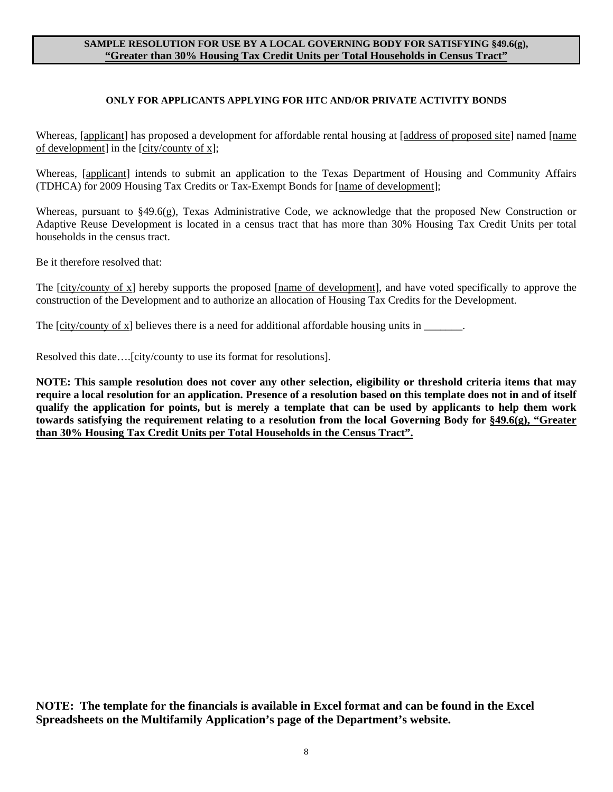### **SAMPLE RESOLUTION FOR USE BY A LOCAL GOVERNING BODY FOR SATISFYING §49.6(g), "Greater than 30% Housing Tax Credit Units per Total Households in Census Tract"**

#### **ONLY FOR APPLICANTS APPLYING FOR HTC AND/OR PRIVATE ACTIVITY BONDS**

Whereas, [applicant] has proposed a development for affordable rental housing at [address of proposed site] named [name of development] in the [city/county of x];

Whereas, [applicant] intends to submit an application to the Texas Department of Housing and Community Affairs (TDHCA) for 2009 Housing Tax Credits or Tax-Exempt Bonds for [name of development];

Whereas, pursuant to §49.6(g), Texas Administrative Code, we acknowledge that the proposed New Construction or Adaptive Reuse Development is located in a census tract that has more than 30% Housing Tax Credit Units per total households in the census tract.

Be it therefore resolved that:

The [city/county of x] hereby supports the proposed [name of development], and have voted specifically to approve the construction of the Development and to authorize an allocation of Housing Tax Credits for the Development.

The [city/county of x] believes there is a need for additional affordable housing units in \_\_\_\_\_\_\_.

Resolved this date….[city/county to use its format for resolutions].

**NOTE: This sample resolution does not cover any other selection, eligibility or threshold criteria items that may require a local resolution for an application. Presence of a resolution based on this template does not in and of itself qualify the application for points, but is merely a template that can be used by applicants to help them work towards satisfying the requirement relating to a resolution from the local Governing Body for §49.6(g), "Greater than 30% Housing Tax Credit Units per Total Households in the Census Tract".**

**NOTE: The template for the financials is available in Excel format and can be found in the Excel Spreadsheets on the Multifamily Application's page of the Department's website.**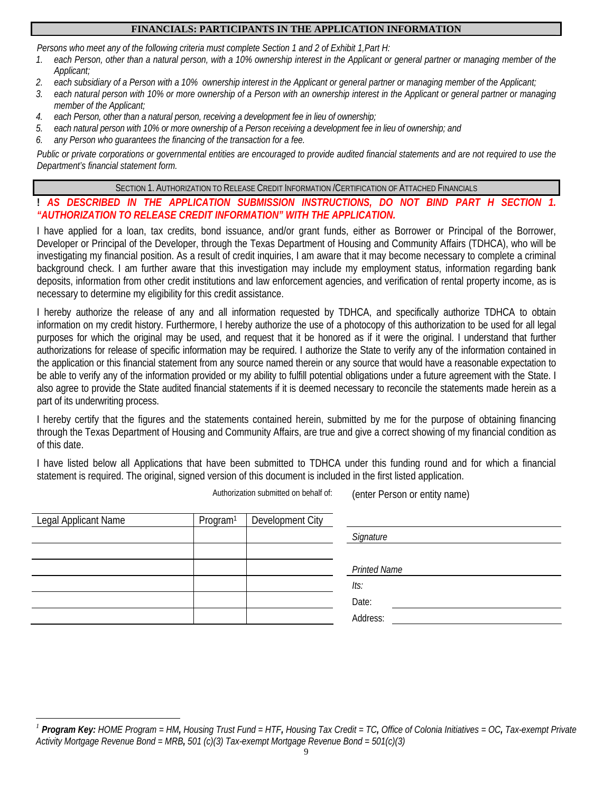# **FINANCIALS: PARTICIPANTS IN THE APPLICATION INFORMATION**

*Persons who meet any of the following criteria must complete Section 1 and 2 of Exhibit 1,Part H:*

- *1. each Person, other than a natural person, with a 10% ownership interest in the Applicant or general partner or managing member of the Applicant;*
- *2. each subsidiary of a Person with a 10% ownership interest in the Applicant or general partner or managing member of the Applicant;*
- *3. each natural person with 10% or more ownership of a Person with an ownership interest in the Applicant or general partner or managing member of the Applicant;*
- *4. each Person, other than a natural person, receiving a development fee in lieu of ownership;*
- *5. each natural person with 10% or more ownership of a Person receiving a development fee in lieu of ownership; and*
- *6. any Person who guarantees the financing of the transaction for a fee.*

*Public or private corporations or governmental entities are encouraged to provide audited financial statements and are not required to use the Department's financial statement form.*

SECTION 1. AUTHORIZATION TO RELEASE CREDIT INFORMATION /CERTIFICATION OF ATTACHED FINANCIALS

# **!** *AS DESCRIBED IN THE APPLICATION SUBMISSION INSTRUCTIONS, DO NOT BIND PART H SECTION 1. "AUTHORIZATION TO RELEASE CREDIT INFORMATION" WITH THE APPLICATION.*

I have applied for a loan, tax credits, bond issuance, and/or grant funds, either as Borrower or Principal of the Borrower, Developer or Principal of the Developer, through the Texas Department of Housing and Community Affairs (TDHCA), who will be investigating my financial position. As a result of credit inquiries, I am aware that it may become necessary to complete a criminal background check. I am further aware that this investigation may include my employment status, information regarding bank deposits, information from other credit institutions and law enforcement agencies, and verification of rental property income, as is necessary to determine my eligibility for this credit assistance.

I hereby authorize the release of any and all information requested by TDHCA, and specifically authorize TDHCA to obtain information on my credit history. Furthermore, I hereby authorize the use of a photocopy of this authorization to be used for all legal purposes for which the original may be used, and request that it be honored as if it were the original. I understand that further authorizations for release of specific information may be required. I authorize the State to verify any of the information contained in the application or this financial statement from any source named therein or any source that would have a reasonable expectation to be able to verify any of the information provided or my ability to fulfill potential obligations under a future agreement with the State. I also agree to provide the State audited financial statements if it is deemed necessary to reconcile the statements made herein as a part of its underwriting process.

I hereby certify that the figures and the statements contained herein, submitted by me for the purpose of obtaining financing through the Texas Department of Housing and Community Affairs, are true and give a correct showing of my financial condition as of this date.

I have listed below all Applications that have been submitted to TDHCA under this funding round and for which a financial statement is required. The original, signed version of this document is included in the first listed application.

Authorization submitted on behalf of: (enter Person or entity name)

| Legal Applicant Name | Program <sup>1</sup> | Development City |                     |
|----------------------|----------------------|------------------|---------------------|
|                      |                      |                  | Signature           |
|                      |                      |                  |                     |
|                      |                      |                  | <b>Printed Name</b> |
|                      |                      |                  | lts:                |
|                      |                      |                  | Date:               |
|                      |                      |                  | Address:            |

<span id="page-8-0"></span> $\overline{a}$ *<sup>1</sup> Program Key: HOME Program = HM, Housing Trust Fund = HTF, Housing Tax Credit = TC, Office of Colonia Initiatives = OC, Tax-exempt Private Activity Mortgage Revenue Bond = MRB, 501 (c)(3) Tax-exempt Mortgage Revenue Bond = 501(c)(3)*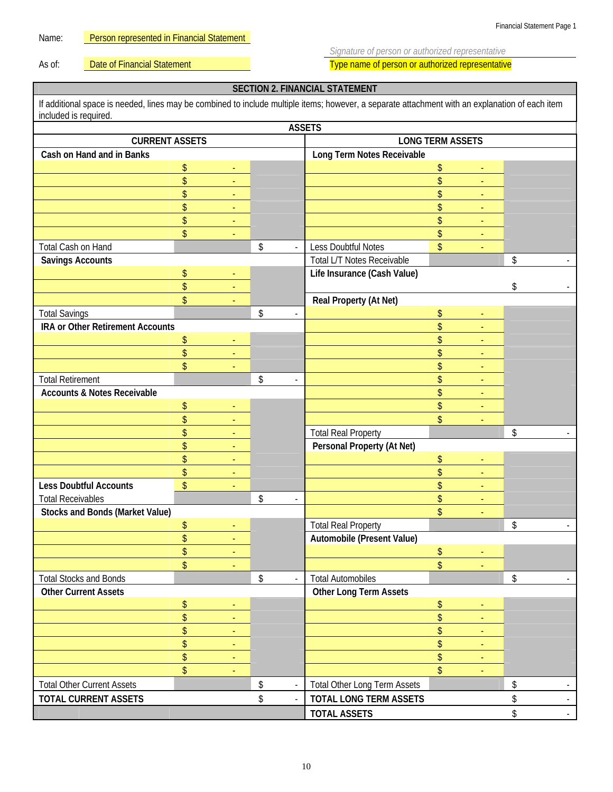Name: Person represented in Financial Statement

*Signature of person or authorized representative* 

As of: **Date of Financial Statement** Type name of person or authorized representative

# **SECTION 2. FINANCIAL STATEMENT**

| If additional space is needed, lines may be combined to include multiple items; however, a separate attachment with an explanation of each item<br>included is required. |    |                          |    |                             |                               |    |                |                           |        |
|--------------------------------------------------------------------------------------------------------------------------------------------------------------------------|----|--------------------------|----|-----------------------------|-------------------------------|----|----------------|---------------------------|--------|
| <b>ASSETS</b>                                                                                                                                                            |    |                          |    |                             |                               |    |                |                           |        |
| <b>CURRENT ASSETS</b>                                                                                                                                                    |    |                          |    | <b>LONG TERM ASSETS</b>     |                               |    |                |                           |        |
| Cash on Hand and in Banks                                                                                                                                                |    |                          |    |                             | Long Term Notes Receivable    |    |                |                           |        |
|                                                                                                                                                                          | \$ |                          |    |                             |                               | \$ |                |                           |        |
|                                                                                                                                                                          | \$ |                          |    |                             |                               | \$ |                |                           |        |
|                                                                                                                                                                          | \$ |                          |    |                             |                               | \$ |                |                           |        |
|                                                                                                                                                                          | \$ |                          |    |                             |                               | \$ |                |                           |        |
|                                                                                                                                                                          | \$ | $\blacksquare$           |    |                             |                               | \$ | $\blacksquare$ |                           |        |
|                                                                                                                                                                          | \$ |                          |    |                             |                               | \$ |                |                           |        |
| Total Cash on Hand                                                                                                                                                       |    |                          | \$ | $\mathcal{L}_{\mathcal{A}}$ | Less Doubtful Notes           | \$ |                |                           |        |
| <b>Savings Accounts</b>                                                                                                                                                  |    |                          |    |                             | Total L/T Notes Receivable    |    |                | $\boldsymbol{\mathsf{S}}$ |        |
|                                                                                                                                                                          | \$ | ÷,                       |    |                             | Life Insurance (Cash Value)   |    |                |                           |        |
|                                                                                                                                                                          | \$ | $\blacksquare$           |    |                             |                               |    |                | \$                        |        |
|                                                                                                                                                                          | \$ |                          |    |                             | Real Property (At Net)        |    |                |                           |        |
| <b>Total Savings</b>                                                                                                                                                     |    |                          | \$ |                             |                               | \$ |                |                           |        |
| IRA or Other Retirement Accounts                                                                                                                                         |    |                          |    |                             |                               | \$ |                |                           |        |
|                                                                                                                                                                          | \$ | Ξ                        |    |                             |                               | \$ | $\blacksquare$ |                           |        |
|                                                                                                                                                                          | \$ | $\blacksquare$           |    |                             |                               | \$ | ÷,             |                           |        |
|                                                                                                                                                                          | \$ |                          |    |                             |                               | \$ |                |                           |        |
| <b>Total Retirement</b>                                                                                                                                                  |    |                          | \$ | $\blacksquare$              |                               | \$ |                |                           |        |
| <b>Accounts &amp; Notes Receivable</b>                                                                                                                                   |    |                          |    |                             |                               | \$ |                |                           |        |
|                                                                                                                                                                          | \$ |                          |    |                             |                               | \$ | $\blacksquare$ |                           |        |
|                                                                                                                                                                          | \$ |                          |    |                             |                               | \$ |                |                           |        |
|                                                                                                                                                                          | \$ |                          |    |                             | <b>Total Real Property</b>    |    |                | \$                        |        |
|                                                                                                                                                                          | \$ | ÷,                       |    |                             | Personal Property (At Net)    |    |                |                           |        |
|                                                                                                                                                                          | \$ |                          |    |                             |                               | \$ | $\blacksquare$ |                           |        |
|                                                                                                                                                                          | \$ | $\blacksquare$           |    |                             |                               | \$ | $\blacksquare$ |                           |        |
| <b>Less Doubtful Accounts</b>                                                                                                                                            | \$ |                          |    |                             |                               | \$ |                |                           |        |
| <b>Total Receivables</b>                                                                                                                                                 |    |                          | \$ | $\overline{\phantom{a}}$    |                               | \$ |                |                           |        |
| <b>Stocks and Bonds (Market Value)</b>                                                                                                                                   |    |                          |    |                             |                               | \$ |                |                           |        |
|                                                                                                                                                                          | \$ | ÷                        |    |                             | <b>Total Real Property</b>    |    |                | \$                        |        |
|                                                                                                                                                                          | \$ | Ξ                        |    |                             | Automobile (Present Value)    |    |                |                           |        |
|                                                                                                                                                                          | \$ |                          |    |                             |                               | \$ |                |                           |        |
|                                                                                                                                                                          | \$ |                          |    |                             |                               | \$ |                |                           |        |
| <b>Total Stocks and Bonds</b>                                                                                                                                            |    |                          | \$ | $\omega$                    | <b>Total Automobiles</b>      |    |                | \$                        |        |
| <b>Other Current Assets</b>                                                                                                                                              |    |                          |    |                             | <b>Other Long Term Assets</b> |    |                |                           |        |
|                                                                                                                                                                          | \$ | $\blacksquare$           |    |                             |                               | \$ | $\blacksquare$ |                           |        |
|                                                                                                                                                                          | \$ |                          |    |                             |                               | \$ |                |                           |        |
|                                                                                                                                                                          | \$ |                          |    |                             |                               | \$ |                |                           |        |
|                                                                                                                                                                          | \$ |                          |    |                             |                               | \$ |                |                           |        |
|                                                                                                                                                                          | \$ |                          |    |                             |                               | \$ |                |                           |        |
|                                                                                                                                                                          | \$ | $\overline{\phantom{a}}$ |    |                             |                               | \$ | $\blacksquare$ |                           |        |
| <b>Total Other Current Assets</b>                                                                                                                                        |    |                          | \$ |                             | Total Other Long Term Assets  |    |                | \$                        |        |
| <b>TOTAL CURRENT ASSETS</b>                                                                                                                                              |    |                          | \$ | $\Box$                      | <b>TOTAL LONG TERM ASSETS</b> |    |                | \$                        | $\sim$ |
|                                                                                                                                                                          |    |                          |    |                             | <b>TOTAL ASSETS</b>           |    |                | \$                        | $\sim$ |